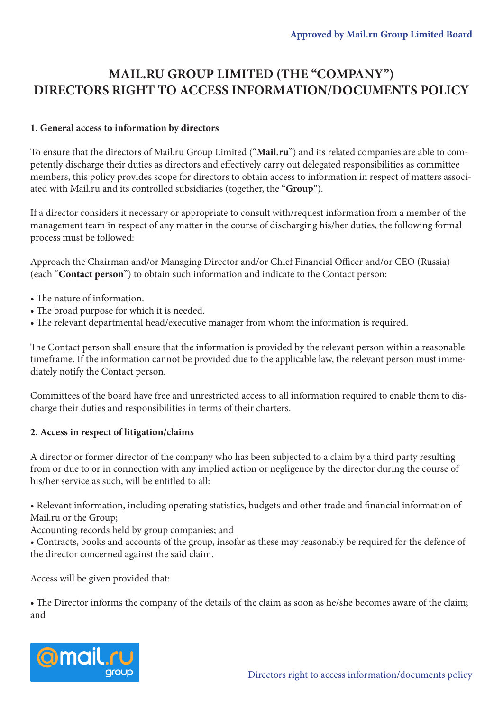## **MAIL.RU GROUP LIMITED (THE "COMPANY") DIRECTORS RIGHT TO ACCESS INFORMATION/DOCUMENTS POLICY**

## **1. General access to information by directors**

To ensure that the directors of Mail.ru Group Limited ("**Mail.ru**") and its related companies are able to competently discharge their duties as directors and effectively carry out delegated responsibilities as committee members, this policy provides scope for directors to obtain access to information in respect of matters associated with Mail.ru and its controlled subsidiaries (together, the "**Group**").

If a director considers it necessary or appropriate to consult with/request information from a member of the management team in respect of any matter in the course of discharging his/her duties, the following formal process must be followed:

Approach the Chairman and/or Managing Director and/or Chief Financial Officer and/or CEO (Russia) (each "**Contact person**") to obtain such information and indicate to the Contact person:

- The nature of information.
- The broad purpose for which it is needed.
- The relevant departmental head/executive manager from whom the information is required.

The Contact person shall ensure that the information is provided by the relevant person within a reasonable timeframe. If the information cannot be provided due to the applicable law, the relevant person must immediately notify the Contact person.

Committees of the board have free and unrestricted access to all information required to enable them to discharge their duties and responsibilities in terms of their charters.

## **2. Access in respect of litigation/claims**

A director or former director of the company who has been subjected to a claim by a third party resulting from or due to or in connection with any implied action or negligence by the director during the course of his/her service as such, will be entitled to all:

• Relevant information, including operating statistics, budgets and other trade and financial information of Mail.ru or the Group;

Accounting records held by group companies; and

• Contracts, books and accounts of the group, insofar as these may reasonably be required for the defence of the director concerned against the said claim.

Access will be given provided that:

• The Director informs the company of the details of the claim as soon as he/she becomes aware of the claim; and